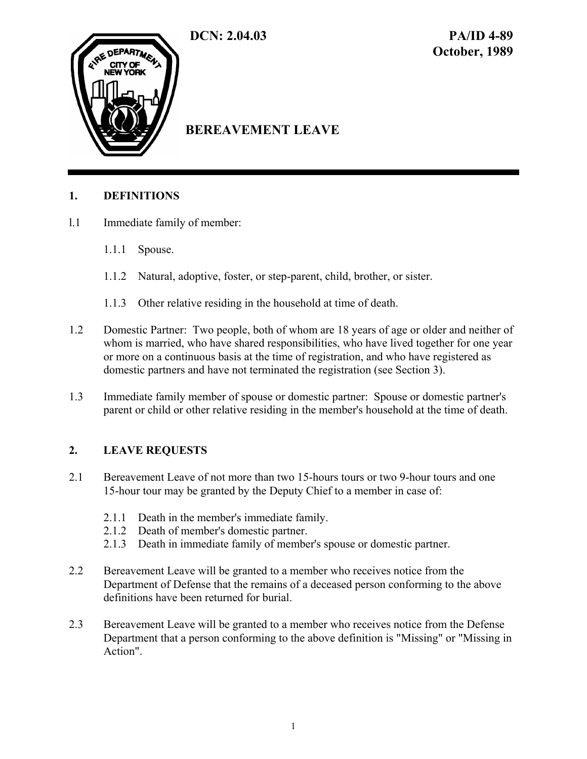

# **BEREAVEMENT LEAVE**

# **1. DEFINITIONS**

- l.1 Immediate family of member:
	- 1.1.1 Spouse.
	- 1.1.2 Natural, adoptive, foster, or step-parent, child, brother, or sister.
	- 1.1.3 Other relative residing in the household at time of death.
- 1.2 Domestic Partner: Two people, both of whom are 18 years of age or older and neither of whom is married, who have shared responsibilities, who have lived together for one year or more on a continuous basis at the time of registration, and who have registered as domestic partners and have not terminated the registration (see Section 3).
- 1.3 Immediate family member of spouse or domestic partner: Spouse or domestic partner's parent or child or other relative residing in the member's household at the time of death.

# **2. LEAVE REQUESTS**

- 2.1 Bereavement Leave of not more than two 15-hours tours or two 9-hour tours and one 15-hour tour may be granted by the Deputy Chief to a member in case of:
	- 2.1.1 Death in the member's immediate family.
	- 2.1.2 Death of member's domestic partner.
	- 2.1.3 Death in immediate family of member's spouse or domestic partner.
- 2.2 Bereavement Leave will be granted to a member who receives notice from the Department of Defense that the remains of a deceased person conforming to the above definitions have been returned for burial.
- 2.3 Bereavement Leave will be granted to a member who receives notice from the Defense Department that a person conforming to the above definition is "Missing" or "Missing in Action".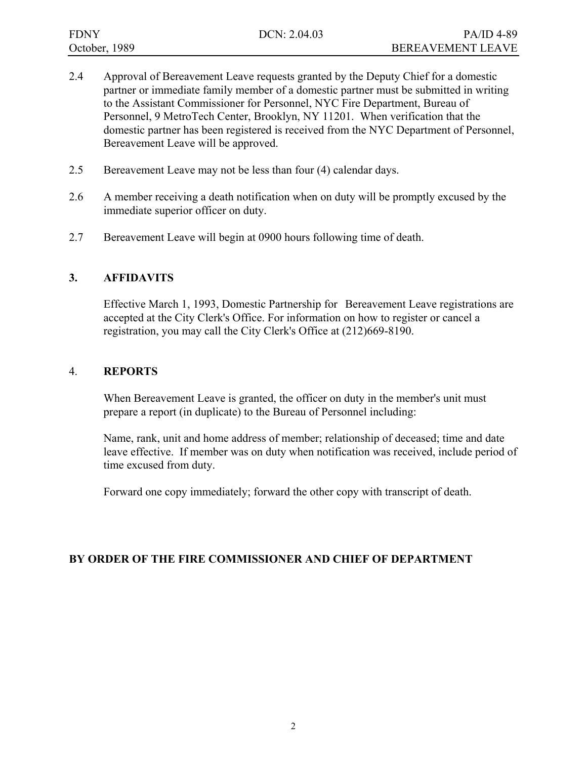- 2.4 Approval of Bereavement Leave requests granted by the Deputy Chief for a domestic partner or immediate family member of a domestic partner must be submitted in writing to the Assistant Commissioner for Personnel, NYC Fire Department, Bureau of Personnel, 9 MetroTech Center, Brooklyn, NY 11201. When verification that the domestic partner has been registered is received from the NYC Department of Personnel, Bereavement Leave will be approved.
- 2.5 Bereavement Leave may not be less than four (4) calendar days.
- 2.6 A member receiving a death notification when on duty will be promptly excused by the immediate superior officer on duty.
- 2.7 Bereavement Leave will begin at 0900 hours following time of death.

# **3. AFFIDAVITS**

 Effective March 1, 1993, Domestic Partnership for Bereavement Leave registrations are accepted at the City Clerk's Office. For information on how to register or cancel a registration, you may call the City Clerk's Office at (212)669-8190.

# 4. **REPORTS**

 When Bereavement Leave is granted, the officer on duty in the member's unit must prepare a report (in duplicate) to the Bureau of Personnel including:

 Name, rank, unit and home address of member; relationship of deceased; time and date leave effective. If member was on duty when notification was received, include period of time excused from duty.

Forward one copy immediately; forward the other copy with transcript of death.

# **BY ORDER OF THE FIRE COMMISSIONER AND CHIEF OF DEPARTMENT**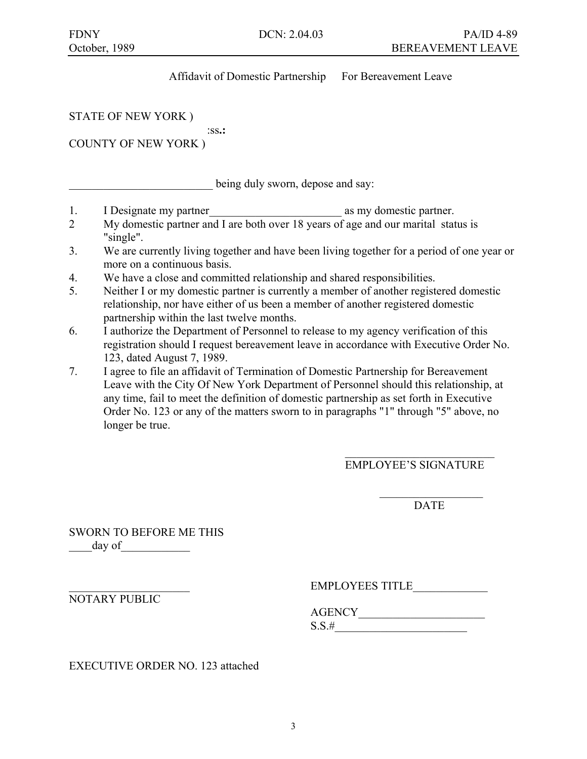# Affidavit of Domestic Partnership For Bereavement Leave

STATE OF NEW YORK )

:ss**.:**

COUNTY OF NEW YORK )

being duly sworn, depose and say:

- 1. I Designate my partner as my domestic partner.
- 2 My domestic partner and I are both over 18 years of age and our marital status is "single".
- 3. We are currently living together and have been living together for a period of one year or more on a continuous basis.
- 4. We have a close and committed relationship and shared responsibilities.
- 5. Neither I or my domestic partner is currently a member of another registered domestic relationship, nor have either of us been a member of another registered domestic partnership within the last twelve months.
- 6. I authorize the Department of Personnel to release to my agency verification of this registration should I request bereavement leave in accordance with Executive Order No. 123, dated August 7, 1989.
- 7. I agree to file an affidavit of Termination of Domestic Partnership for Bereavement Leave with the City Of New York Department of Personnel should this relationship, at any time, fail to meet the definition of domestic partnership as set forth in Executive Order No. 123 or any of the matters sworn to in paragraphs "1" through "5" above, no longer be true.

 $\mathcal{L}_\text{max}$  and  $\mathcal{L}_\text{max}$  and  $\mathcal{L}_\text{max}$  and  $\mathcal{L}_\text{max}$  and  $\mathcal{L}_\text{max}$ 

 $\mathcal{L}_\mathcal{L} = \{ \mathcal{L}_\mathcal{L} \mid \mathcal{L}_\mathcal{L} \}$  , where  $\mathcal{L}_\mathcal{L} = \{ \mathcal{L}_\mathcal{L} \mid \mathcal{L}_\mathcal{L} \}$ 

EMPLOYEE'S SIGNATURE

DATE DESCRIPTION OF THE UPPER STREET OF THE UPPER STREET OF THE UPPER STREET OF THE UPPER STREET OF THE UPPER STREET OF THE UPPER STREET OF THE UPPER STREET OF THE UPPER STREET OF THE UPPER STREET OF THE UPPER STREET OF TH

SWORN TO BEFORE ME THIS day of

EMPLOYEES TITLE

NOTARY PUBLIC

 AGENCY\_\_\_\_\_\_\_\_\_\_\_\_\_\_\_\_\_\_\_\_\_\_  $S.S.#$ 

EXECUTIVE ORDER NO. 123 attached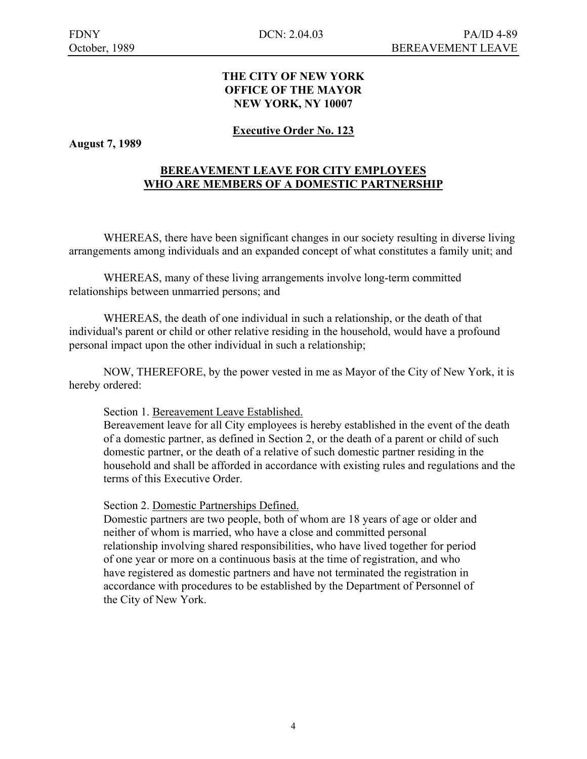### **THE CITY OF NEW YORK OFFICE OF THE MAYOR NEW YORK, NY 10007**

# **Executive Order No. 123**

**August 7, 1989** 

# **BEREAVEMENT LEAVE FOR CITY EMPLOYEES WHO ARE MEMBERS OF A DOMESTIC PARTNERSHIP**

 WHEREAS, there have been significant changes in our society resulting in diverse living arrangements among individuals and an expanded concept of what constitutes a family unit; and

 WHEREAS, many of these living arrangements involve long-term committed relationships between unmarried persons; and

 WHEREAS, the death of one individual in such a relationship, or the death of that individual's parent or child or other relative residing in the household, would have a profound personal impact upon the other individual in such a relationship;

 NOW, THEREFORE, by the power vested in me as Mayor of the City of New York, it is hereby ordered:

#### Section 1. Bereavement Leave Established.

Bereavement leave for all City employees is hereby established in the event of the death of a domestic partner, as defined in Section 2, or the death of a parent or child of such domestic partner, or the death of a relative of such domestic partner residing in the household and shall be afforded in accordance with existing rules and regulations and the terms of this Executive Order.

#### Section 2. Domestic Partnerships Defined.

 Domestic partners are two people, both of whom are 18 years of age or older and neither of whom is married, who have a close and committed personal relationship involving shared responsibilities, who have lived together for period of one year or more on a continuous basis at the time of registration, and who have registered as domestic partners and have not terminated the registration in accordance with procedures to be established by the Department of Personnel of the City of New York.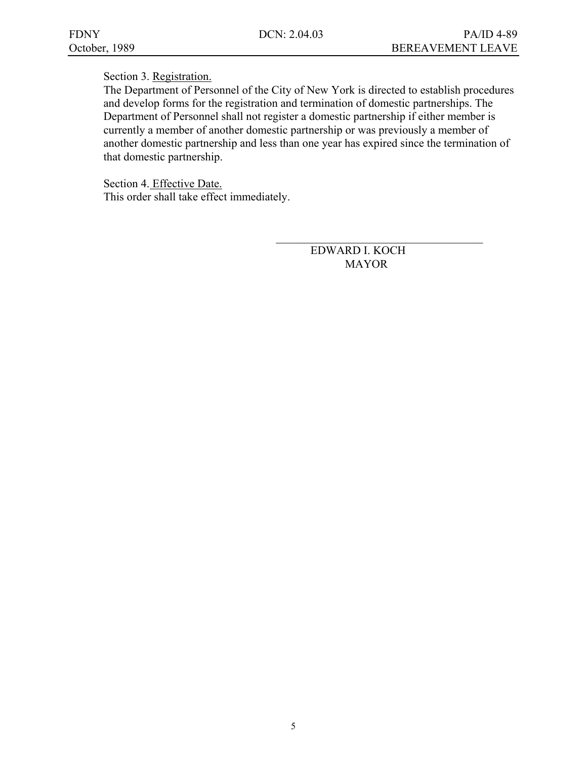$\mathcal{L}_\text{max}$  and  $\mathcal{L}_\text{max}$  and  $\mathcal{L}_\text{max}$  and  $\mathcal{L}_\text{max}$  and  $\mathcal{L}_\text{max}$ 

### Section 3. Registration.

The Department of Personnel of the City of New York is directed to establish procedures and develop forms for the registration and termination of domestic partnerships. The Department of Personnel shall not register a domestic partnership if either member is currently a member of another domestic partnership or was previously a member of another domestic partnership and less than one year has expired since the termination of that domestic partnership.

 Section 4. Effective Date. This order shall take effect immediately.

> EDWARD I. KOCH MAYOR